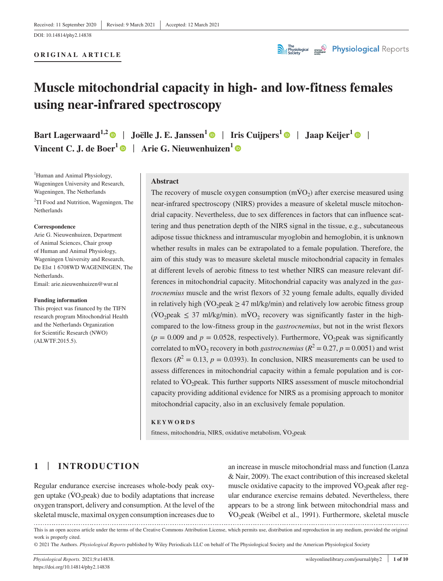#### **ORIGINAL ARTICLE**



# **Muscle mitochondrial capacity in high- and low-fitness females using near-infrared spectroscopy**

**Bart Lagerwaard**<sup>1,[2](https://orcid.org/0000-0001-8558-2385)</sup> | Joëlle J. E. Janssen<sup>1</sup> | Iris Cuijpers<sup>1</sup> | Jaap Keijer<sup>1</sup> | | **Vincent C. J. de Boer<sup>[1](https://orcid.org/0000-0001-9928-1698)</sup>**  $\bullet$  **| Arie G. Nieuwenhuizen<sup>1</sup>**  $\bullet$ 

<sup>1</sup>Human and Animal Physiology, Wageningen University and Research, Wageningen, The Netherlands

<sup>2</sup>TI Food and Nutrition, Wageningen, The Netherlands

#### **Correspondence**

Arie G. Nieuwenhuizen, Department of Animal Sciences, Chair group of Human and Animal Physiology, Wageningen University and Research, De Elst 1 6708WD WAGENINGEN, The **Netherlands** Email: [arie.nieuwenhuizen@wur.nl](mailto:arie.nieuwenhuizen@wur.nl)

#### **Funding information**

This project was financed by the TIFN research program Mitochondrial Health and the Netherlands Organization for Scientific Research (NWO) (ALWTF.2015.5).

#### **Abstract**

The recovery of muscle oxygen consumption  $(m\dot{V}O_2)$  after exercise measured using near-infrared spectroscopy (NIRS) provides a measure of skeletal muscle mitochondrial capacity. Nevertheless, due to sex differences in factors that can influence scattering and thus penetration depth of the NIRS signal in the tissue, e.g., subcutaneous adipose tissue thickness and intramuscular myoglobin and hemoglobin, it is unknown whether results in males can be extrapolated to a female population. Therefore, the aim of this study was to measure skeletal muscle mitochondrial capacity in females at different levels of aerobic fitness to test whether NIRS can measure relevant differences in mitochondrial capacity. Mitochondrial capacity was analyzed in the *gastrocnemius* muscle and the wrist flexors of 32 young female adults, equally divided in relatively high ( $\rm\dot{VO}_2$  peak  $\geq 47$  ml/kg/min) and relatively low aerobic fitness group  $(\text{VO}_2)$  peak  $\leq$  37 ml/kg/min). mVO<sub>2</sub> recovery was significantly faster in the highcompared to the low-fitness group in the *gastrocnemius*, but not in the wrist flexors  $(p = 0.009$  and  $p = 0.0528$ , respectively). Furthermore, VO<sub>2</sub> peak was significantly correlated to mVO<sub>2</sub> recovery in both *gastrocnemius* ( $R^2 = 0.27$ ,  $p = 0.0051$ ) and wrist flexors ( $R^2 = 0.13$ ,  $p = 0.0393$ ). In conclusion, NIRS measurements can be used to assess differences in mitochondrial capacity within a female population and is correlated to  $\rm\dot{VO}_2$  peak. This further supports NIRS assessment of muscle mitochondrial capacity providing additional evidence for NIRS as a promising approach to monitor mitochondrial capacity, also in an exclusively female population.

#### **KEYWORDS**

fitness, mitochondria, NIRS, oxidative metabolism,  $\dot{V}O_2$  peak

# **1** | **INTRODUCTION**

Regular endurance exercise increases whole-body peak oxygen uptake  $(\rm VO_2peak)$  due to bodily adaptations that increase oxygen transport, delivery and consumption. At the level of the skeletal muscle, maximal oxygen consumption increases due to skeletal muscle, maximal oxygen consumption increases due to  $\text{VO}_2$  peak (Weibel et al., 1991). Furthermore, skeletal muscle

an increase in muscle mitochondrial mass and function (Lanza & Nair, 2009). The exact contribution of this increased skeletal muscle oxidative capacity to the improved  $VO<sub>2</sub>$  peak after regular endurance exercise remains debated. Nevertheless, there appears to be a strong link between mitochondrial mass and

This is an open access article under the terms of the [Creative Commons Attribution](http://creativecommons.org/licenses/by/4.0/) License, which permits use, distribution and reproduction in any medium, provided the original work is properly cited.

© 2021 The Authors. *Physiological Reports* published by Wiley Periodicals LLC on behalf of The Physiological Society and the American Physiological Society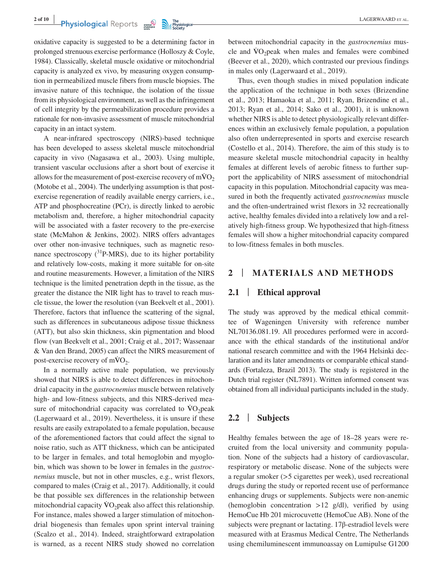oxidative capacity is suggested to be a determining factor in prolonged strenuous exercise performance (Holloszy & Coyle, 1984). Classically, skeletal muscle oxidative or mitochondrial capacity is analyzed ex vivo, by measuring oxygen consumption in permeabilized muscle fibers from muscle biopsies. The invasive nature of this technique, the isolation of the tissue from its physiological environment, as well as the infringement of cell integrity by the permeabilization procedure provides a rationale for non-invasive assessment of muscle mitochondrial capacity in an intact system.

A near-infrared spectroscopy (NIRS)-based technique has been developed to assess skeletal muscle mitochondrial capacity in vivo (Nagasawa et al., 2003). Using multiple, transient vascular occlusions after a short bout of exercise it allows for the measurement of post-exercise recovery of  $m\dot{V}O<sub>2</sub>$ (Motobe et al., 2004). The underlying assumption is that postexercise regeneration of readily available energy carriers, i.e., ATP and phosphocreatine (PCr), is directly linked to aerobic metabolism and, therefore, a higher mitochondrial capacity will be associated with a faster recovery to the pre-exercise state (McMahon & Jenkins, 2002). NIRS offers advantages over other non-invasive techniques, such as magnetic resonance spectroscopy  $(^{31}P\text{-MRS})$ , due to its higher portability and relatively low-costs, making it more suitable for on-site and routine measurements. However, a limitation of the NIRS technique is the limited penetration depth in the tissue, as the greater the distance the NIR light has to travel to reach muscle tissue, the lower the resolution (van Beekvelt et al., 2001). Therefore, factors that influence the scattering of the signal, such as differences in subcutaneous adipose tissue thickness (ATT), but also skin thickness, skin pigmentation and blood flow (van Beekvelt et al., 2001; Craig et al., 2017; Wassenaar & Van den Brand, 2005) can affect the NIRS measurement of post-exercise recovery of  $m\dot{V}O_2$ .

In a normally active male population, we previously showed that NIRS is able to detect differences in mitochondrial capacity in the *gastrocnemius* muscle between relatively high- and low-fitness subjects, and this NIRS-derived measure of mitochondrial capacity was correlated to  $\rm\ddot{V}O_2$  peak (Lagerwaard et al., 2019). Nevertheless, it is unsure if these results are easily extrapolated to a female population, because of the aforementioned factors that could affect the signal to noise ratio, such as ATT thickness, which can be anticipated to be larger in females, and total hemoglobin and myoglobin, which was shown to be lower in females in the *gastrocnemius* muscle, but not in other muscles, e.g., wrist flexors, compared to males (Craig et al., 2017). Additionally, it could be that possible sex differences in the relationship between mitochondrial capacity  $VO<sub>2</sub>peak$  also affect this relationship. For instance, males showed a larger stimulation of mitochondrial biogenesis than females upon sprint interval training (Scalzo et al., 2014). Indeed, straightforward extrapolation is warned, as a recent NIRS study showed no correlation between mitochondrial capacity in the *gastrocnemius* muscle and  $\dot{V}O_2$  peak when males and females were combined (Beever et al., 2020), which contrasted our previous findings in males only (Lagerwaard et al., 2019).

Thus, even though studies in mixed population indicate the application of the technique in both sexes (Brizendine et al., 2013; Hamaoka et al., 2011; Ryan, Brizendine et al., 2013; Ryan et al., 2014; Sako et al., 2001), it is unknown whether NIRS is able to detect physiologically relevant differences within an exclusively female population, a population also often underrepresented in sports and exercise research (Costello et al., 2014). Therefore, the aim of this study is to measure skeletal muscle mitochondrial capacity in healthy females at different levels of aerobic fitness to further support the applicability of NIRS assessment of mitochondrial capacity in this population. Mitochondrial capacity was measured in both the frequently activated *gastrocnemius* muscle and the often-undertrained wrist flexors in 32 recreationally active, healthy females divided into a relatively low and a relatively high-fitness group. We hypothesized that high-fitness females will show a higher mitochondrial capacity compared to low-fitness females in both muscles.

## **2** | **MATERIALS AND METHODS**

## **2.1** | **Ethical approval**

The study was approved by the medical ethical committee of Wageningen University with reference number NL70136.081.19. All procedures performed were in accordance with the ethical standards of the institutional and/or national research committee and with the 1964 Helsinki declaration and its later amendments or comparable ethical standards (Fortaleza, Brazil 2013). The study is registered in the Dutch trial register (NL7891). Written informed consent was obtained from all individual participants included in the study.

## **2.2** | **Subjects**

Healthy females between the age of 18–28 years were recruited from the local university and community population. None of the subjects had a history of cardiovascular, respiratory or metabolic disease. None of the subjects were a regular smoker (>5 cigarettes per week), used recreational drugs during the study or reported recent use of performance enhancing drugs or supplements. Subjects were non-anemic (hemoglobin concentration  $>12$  g/dl), verified by using HemoCue Hb 201 microcuvette (HemoCue AB). None of the subjects were pregnant or lactating. 17β-estradiol levels were measured with at Erasmus Medical Centre, The Netherlands using chemiluminescent immunoassay on Lumipulse G1200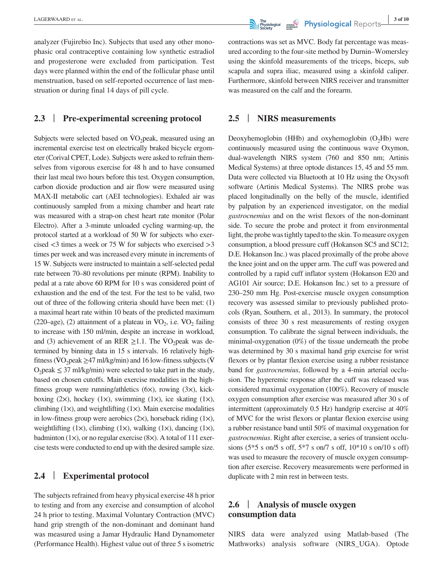analyzer (Fujirebio Inc). Subjects that used any other monophasic oral contraceptive containing low synthetic estradiol and progesterone were excluded from participation. Test days were planned within the end of the follicular phase until menstruation, based on self-reported occurrence of last menstruation or during final 14 days of pill cycle.

## **2.3** | **Pre-experimental screening protocol**

Subjects were selected based on  $\rm \dot{V}O_2$  peak, measured using an incremental exercise test on electrically braked bicycle ergometer (Corival CPET, Lode). Subjects were asked to refrain themselves from vigorous exercise for 48 h and to have consumed their last meal two hours before this test. Oxygen consumption, carbon dioxide production and air flow were measured using MAX-II metabolic cart (AEI technologies). Exhaled air was continuously sampled from a mixing chamber and heart rate was measured with a strap-on chest heart rate monitor (Polar Electro). After a 3-minute unloaded cycling warming-up, the protocol started at a workload of 50 W for subjects who exercised  $\leq$ 3 times a week or 75 W for subjects who exercised  $>$ 3 times per week and was increased every minute in increments of 15 W. Subjects were instructed to maintain a self-selected pedal rate between 70–80 revolutions per minute (RPM). Inability to pedal at a rate above 60 RPM for 10 s was considered point of exhaustion and the end of the test. For the test to be valid, two out of three of the following criteria should have been met: (1) a maximal heart rate within 10 beats of the predicted maximum (220–age), (2) attainment of a plateau in  $VO_2$ , i.e.  $VO_2$  failing to increase with 150 ml/min, despite an increase in workload, and (3) achievement of an RER  $\geq$ 1.1. The VO<sub>2</sub>peak was determined by binning data in 15 s intervals. 16 relatively highfitness ( $\rm\ddot{VO}_2$  peak  $\geq$  47 ml/kg/min) and 16 low-fitness subjects ( $\rm\ddot{V}$ O<sub>2</sub>peak  $\leq$  37 ml/kg/min) were selected to take part in the study, based on chosen cutoffs. Main exercise modalities in the highfitness group were running/athletics (6×), rowing (3×), kickboxing  $(2x)$ , hockey  $(1x)$ , swimming  $(1x)$ , ice skating  $(1x)$ , climbing  $(1\times)$ , and weightlifting  $(1\times)$ . Main exercise modalities in low-fitness group were aerobics  $(2x)$ , horseback riding  $(1x)$ , weightlifting  $(1\times)$ , climbing  $(1\times)$ , walking  $(1\times)$ , dancing  $(1\times)$ , badminton  $(1\times)$ , or no regular exercise  $(8\times)$ . A total of 111 exercise tests were conducted to end up with the desired sample size.

## **2.4** | **Experimental protocol**

The subjects refrained from heavy physical exercise 48 h prior to testing and from any exercise and consumption of alcohol 24 h prior to testing. Maximal Voluntary Contraction (MVC) hand grip strength of the non-dominant and dominant hand was measured using a Jamar Hydraulic Hand Dynamometer (Performance Health). Highest value out of three 5 s isometric

**EXAMPLE ARREST AL. 19 of 10 CALCERWAARD** ET AL. **3 of 10 Physiological Separate Arrangement Control of the Separate Arrangement Control of the Separate Arrangement Control of the Separate Arrangement Control of the** 

contractions was set as MVC. Body fat percentage was measured according to the four-site method by Durnin–Womersley using the skinfold measurements of the triceps, biceps, sub scapula and supra iliac, measured using a skinfold caliper. Furthermore, skinfold between NIRS receiver and transmitter was measured on the calf and the forearm.

#### **2.5** | **NIRS measurements**

Deoxyhemoglobin (HHb) and oxyhemoglobin  $(O<sub>2</sub>Hb)$  were continuously measured using the continuous wave Oxymon, dual-wavelength NIRS system (760 and 850 nm; Artinis Medical Systems) at three optode distances 15, 45 and 55 mm. Data were collected via Bluetooth at 10 Hz using the Oxysoft software (Artinis Medical Systems). The NIRS probe was placed longitudinally on the belly of the muscle, identified by palpation by an experienced investigator, on the medial *gastrocnemius* and on the wrist flexors of the non-dominant side. To secure the probe and protect it from environmental light, the probe was tightly taped to the skin. To measure oxygen consumption, a blood pressure cuff (Hokanson SC5 and SC12; D.E. Hokanson Inc.) was placed proximally of the probe above the knee joint and on the upper arm. The cuff was powered and controlled by a rapid cuff inflator system (Hokanson E20 and AG101 Air source; D.E. Hokanson Inc.) set to a pressure of 230–250 mm Hg. Post-exercise muscle oxygen consumption recovery was assessed similar to previously published protocols (Ryan, Southern, et al., 2013). In summary, the protocol consists of three 30 s rest measurements of resting oxygen consumption. To calibrate the signal between individuals, the minimal-oxygenation (0%) of the tissue underneath the probe was determined by 30 s maximal hand grip exercise for wrist flexors or by plantar flexion exercise using a rubber resistance band for *gastrocnemius*, followed by a 4-min arterial occlusion. The hyperemic response after the cuff was released was considered maximal oxygenation (100%). Recovery of muscle oxygen consumption after exercise was measured after 30 s of intermittent (approximately 0.5 Hz) handgrip exercise at 40% of MVC for the wrist flexors or plantar flexion exercise using a rubber resistance band until 50% of maximal oxygenation for *gastrocnemius*. Right after exercise, a series of transient occlusions (5\*5 s on/5 s off, 5\*7 s on/7 s off, 10\*10 s on/10 s off) was used to measure the recovery of muscle oxygen consumption after exercise. Recovery measurements were performed in duplicate with 2 min rest in between tests.

# **2.6** | **Analysis of muscle oxygen consumption data**

NIRS data were analyzed using Matlab-based (The Mathworks) analysis software (NIRS\_UGA). Optode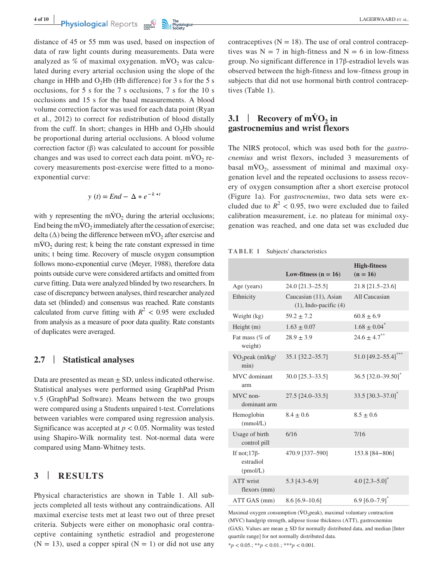**Physiological** Reports **and the property of the property of the property of the property of the property of the property of the property of the property of the property of the property of the property of the property of t** 

distance of 45 or 55 mm was used, based on inspection of data of raw light counts during measurements. Data were analyzed as % of maximal oxygenation.  $m\dot{V}O_2$  was calculated during every arterial occlusion using the slope of the change in HHb and  $O<sub>2</sub>$ Hb (Hb difference) for 3 s for the 5 s occlusions, for 5 s for the 7 s occlusions, 7 s for the 10 s occlusions and 15 s for the basal measurements. A blood volume correction factor was used for each data point (Ryan et al., 2012) to correct for redistribution of blood distally from the cuff. In short; changes in HHb and  $O<sub>2</sub>$ Hb should be proportional during arterial occlusions. A blood volume correction factor (β) was calculated to account for possible changes and was used to correct each data point.  $\text{mVO}_2$  recovery measurements post-exercise were fitted to a monoexponential curve:

$$
y(t) = End - \Delta * e^{-k \cdot t}
$$

with y representing the mVO<sub>2</sub> during the arterial occlusions; End being the m $\dot{V}O_2$  immediately after the cessation of exercise; delta ( $\Delta$ ) being the difference between mVO<sub>2</sub> after exercise and  $mVO<sub>2</sub>$  during rest; k being the rate constant expressed in time units; t being time. Recovery of muscle oxygen consumption follows mono-exponential curve (Meyer, 1988), therefore data points outside curve were considered artifacts and omitted from curve fitting. Data were analyzed blinded by two researchers. In case of discrepancy between analyses, third researcher analyzed data set (blinded) and consensus was reached. Rate constants calculated from curve fitting with  $R^2$  < 0.95 were excluded from analysis as a measure of poor data quality. Rate constants of duplicates were averaged.

## **2.7** | **Statistical analyses**

Data are presented as mean  $\pm$  SD, unless indicated otherwise. Statistical analyses were performed using GraphPad Prism v.5 (GraphPad Software). Means between the two groups were compared using a Students unpaired t-test. Correlations between variables were compared using regression analysis. Significance was accepted at  $p < 0.05$ . Normality was tested using Shapiro-Wilk normality test. Not-normal data were compared using Mann-Whitney tests.

## **3** | **RESULTS**

Physical characteristics are shown in Table 1. All subjects completed all tests without any contraindications. All maximal exercise tests met at least two out of three preset criteria. Subjects were either on monophasic oral contraceptive containing synthetic estradiol and progesterone  $(N = 13)$ , used a copper spiral  $(N = 1)$  or did not use any

contraceptives  $(N = 18)$ . The use of oral control contraceptives was  $N = 7$  in high-fitness and  $N = 6$  in low-fitness group. No significant difference in 17β-estradiol levels was observed between the high-fitness and low-fitness group in subjects that did not use hormonal birth control contraceptives (Table 1).

# $3.1$  | **Recovery of mVO**<sub>2</sub> in **gastrocnemius and wrist flexors**

The NIRS protocol, which was used both for the *gastrocnemius* and wrist flexors, included 3 measurements of basal  $m\dot{V}O_2$ , assessment of minimal and maximal oxygenation level and the repeated occlusions to assess recovery of oxygen consumption after a short exercise protocol (Figure 1a). For *gastrocnemius*, two data sets were excluded due to  $R^2$  < 0.95, two were excluded due to failed calibration measurement, i.e. no plateau for minimal oxygenation was reached, and one data set was excluded due

**TABLE 1** Subjects' characteristics

|                                              | Low-fitness $(n = 16)$                              | <b>High-fitness</b><br>$(n = 16)$ |
|----------------------------------------------|-----------------------------------------------------|-----------------------------------|
| Age (years)                                  | 24.0 [21.3-25.5]                                    | 21.8 [21.5-23.6]                  |
| Ethnicity                                    | Caucasian (11), Asian<br>$(1)$ , Indo-pacific $(4)$ | All Caucasian                     |
| Weight (kg)                                  | $59.2 \pm 7.2$                                      | $60.8 \pm 6.9$                    |
| Height $(m)$                                 | $1.63 \pm 0.07$                                     | $1.68 \pm 0.04$ <sup>*</sup>      |
| Fat mass (% of<br>weight)                    | $28.9 \pm 3.9$                                      | $24.6 \pm 4.7$ <sup>**</sup>      |
| $VO_2$ peak (ml/kg/<br>min)                  | 35.1 [32.2-35.7]                                    | 51.0 [49.2-55.4]***               |
| MVC dominant<br>arm                          | 30.0 [25.3-33.5]                                    | 36.5 [32.0-39.50]                 |
| MVC non-<br>dominant arm                     | 27.5 [24.0-33.5]                                    | 33.5 $[30.3 - 37.0]$ <sup>*</sup> |
| Hemoglobin<br>(mmol/L)                       | $8.4 + 0.6$                                         | $8.5 \pm 0.6$                     |
| Usage of birth<br>control pill               | 6/16                                                | 7/16                              |
| If not; $17\beta$ -<br>estradiol<br>(pmol/L) | 470.9 [337-590]                                     | 153.8 [84-806]                    |
| ATT wrist<br>flexors (mm)                    | $5.3$ [4.3-6.9]                                     | 4.0 $[2.3 - 5.0]$ <sup>*</sup>    |
| ATT GAS (mm)                                 | $8.6$ [6.9-10.6]                                    | $6.9$ [6.0–7.9] <sup>*</sup>      |

Maximal oxygen consumption  $(\dot{V}O_2)$  peak), maximal voluntary contraction (MVC) handgrip strength, adipose tissue thickness (ATT), gastrocnemius (GAS). Values are mean  $\pm$  SD for normally distributed data, and median [Inter quartile range] for not normally distributed data.

\**p* < 0.05.; \*\**p* < 0.01.; \*\*\**p* < 0.001.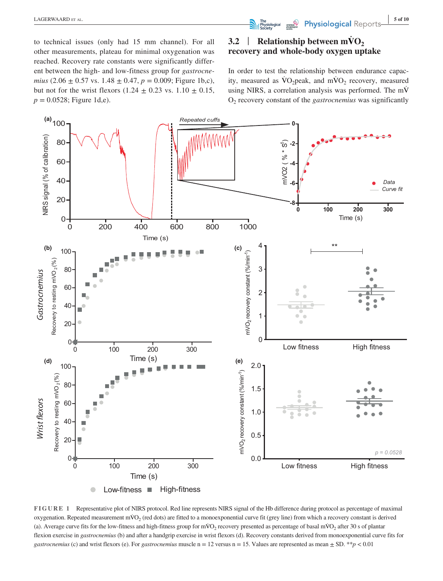to technical issues (only had 15 mm channel). For all other measurements, plateau for minimal oxygenation was reached. Recovery rate constants were significantly different between the high- and low-fitness group for *gastrocnemius* (2.06  $\pm$  0.57 vs. 1.48  $\pm$  0.47, *p* = 0.009; Figure 1b,c), but not for the wrist flexors (1.24  $\pm$  0.23 vs. 1.10  $\pm$  0.15,  $p = 0.0528$ ; Figure 1d,e).

# **3.2** | **Relationship between mVO**<sub>2</sub> **recovery and whole-body oxygen uptake**

In order to test the relationship between endurance capacity, measured as  $\rm \dot{V}O_2$  peak, and m $\rm \dot{V}O_2$  recovery, measured using NIRS, a correlation analysis was performed. The m $\dot{V}$ O2 recovery constant of the *gastrocnemius* was significantly



**FIGURE 1** Representative plot of NIRS protocol. Red line represents NIRS signal of the Hb difference during protocol as percentage of maximal oxygenation. Repeated measurement mVO<sub>2</sub> (red dots) are fitted to a monoexponential curve fit (grey line) from which a recovery constant is derived (a). Average curve fits for the low-fitness and high-fitness group for mVO<sub>2</sub> recovery presented as percentage of basal mVO<sub>2</sub> after 30 s of plantar flexion exercise in *gastrocnemius* (b) and after a handgrip exercise in wrist flexors (d). Recovery constants derived from monoexponential curve fits for *gastrocnemius* (c) and wrist flexors (e). For *gastrocnemius* muscle  $n = 12$  versus  $n = 15$ . Values are represented as mean  $\pm$  SD. \*\**p* < 0.01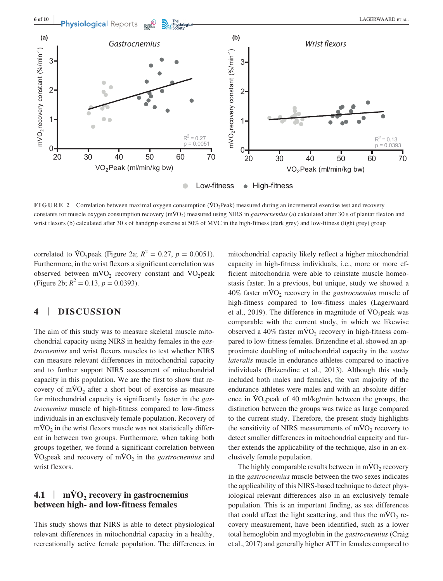

**FIGURE 2** Correlation between maximal oxygen consumption (VO<sub>2</sub>Peak) measured during an incremental exercise test and recovery constants for muscle oxygen consumption recovery (mVO<sub>2</sub>) measured using NIRS in *gastrocnemius* (a) calculated after 30 s of plantar flexion and wrist flexors (b) calculated after 30 s of handgrip exercise at 50% of MVC in the high-fitness (dark grey) and low-fitness (light grey) group

correlated to  $\text{VO}_2$  peak (Figure 2a;  $R^2 = 0.27$ ,  $p = 0.0051$ ). Furthermore, in the wrist flexors a significant correlation was observed between  $m\dot{V}O_2$  recovery constant and  $\dot{V}O_2$  peak (Figure 2b;  $R^2 = 0.13$ ,  $p = 0.0393$ ).

## **4** | **DISCUSSION**

The aim of this study was to measure skeletal muscle mitochondrial capacity using NIRS in healthy females in the *gastrocnemius* and wrist flexors muscles to test whether NIRS can measure relevant differences in mitochondrial capacity and to further support NIRS assessment of mitochondrial capacity in this population. We are the first to show that recovery of  $m\dot{V}O_2$  after a short bout of exercise as measure for mitochondrial capacity is significantly faster in the *gastrocnemius* muscle of high-fitness compared to low-fitness individuals in an exclusively female population. Recovery of  $mVO<sub>2</sub>$  in the wrist flexors muscle was not statistically different in between two groups. Furthermore, when taking both groups together, we found a significant correlation between  $\text{VO}_2$  peak and recovery of mVO<sub>2</sub> in the *gastrocnemius* and wrist flexors.

# **4.1**  $\vert$  **mVO<sub>2</sub> recovery in gastrocnemius between high- and low-fitness females**

This study shows that NIRS is able to detect physiological relevant differences in mitochondrial capacity in a healthy, recreationally active female population. The differences in

mitochondrial capacity likely reflect a higher mitochondrial capacity in high-fitness individuals, i.e., more or more efficient mitochondria were able to reinstate muscle homeostasis faster. In a previous, but unique, study we showed a  $40\%$  faster mVO<sub>2</sub> recovery in the *gastrocnemius* muscle of high-fitness compared to low-fitness males (Lagerwaard et al., 2019). The difference in magnitude of  $\rm \dot{V}O_2$  peak was comparable with the current study, in which we likewise observed a  $40\%$  faster mVO<sub>2</sub> recovery in high-fitness compared to low-fitness females. Brizendine et al. showed an approximate doubling of mitochondrial capacity in the *vastus lateralis* muscle in endurance athletes compared to inactive individuals (Brizendine et al., 2013). Although this study included both males and females, the vast majority of the endurance athletes were males and with an absolute difference in  $\rm{VO}_2$  peak of 40 ml/kg/min between the groups, the distinction between the groups was twice as large compared to the current study. Therefore, the present study highlights the sensitivity of NIRS measurements of  $mVO<sub>2</sub>$  recovery to detect smaller differences in mitochondrial capacity and further extends the applicability of the technique, also in an exclusively female population.

The highly comparable results between in  $\text{mVO}_2$  recovery in the *gastrocnemius* muscle between the two sexes indicates the applicability of this NIRS-based technique to detect physiological relevant differences also in an exclusively female population. This is an important finding, as sex differences that could affect the light scattering, and thus the  $m\dot{V}O_2$  recovery measurement, have been identified, such as a lower total hemoglobin and myoglobin in the *gastrocnemius* (Craig et al., 2017) and generally higher ATT in females compared to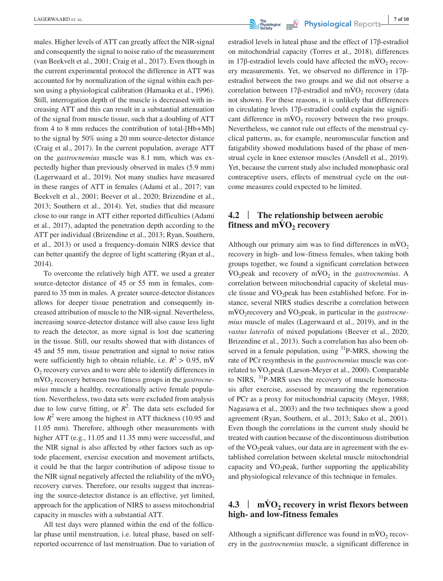males. Higher levels of ATT can greatly affect the NIR-signal and consequently the signal to noise ratio of the measurement (van Beekvelt et al., 2001; Craig et al., 2017). Even though in the current experimental protocol the difference in ATT was accounted for by normalization of the signal within each person using a physiological calibration (Hamaoka et al., 1996). Still, interrogation depth of the muscle is decreased with increasing ATT and this can result in a substantial attenuation of the signal from muscle tissue, such that a doubling of ATT from 4 to 8 mm reduces the contribution of total-[Hb+Mb] to the signal by 50% using a 20 mm source-detector distance (Craig et al., 2017). In the current population, average ATT on the *gastrocnemius* muscle was 8.1 mm, which was expectedly higher than previously observed in males (5.9 mm) (Lagerwaard et al., 2019). Not many studies have measured in these ranges of ATT in females (Adami et al., 2017; van Beekvelt et al., 2001; Beever et al., 2020; Brizendine et al., 2013; Southern et al., 2014). Yet, studies that did measure close to our range in ATT either reported difficulties (Adami et al., 2017), adapted the penetration depth according to the ATT per individual (Brizendine et al., 2013; Ryan, Southern, et al., 2013) or used a frequency-domain NIRS device that can better quantify the degree of light scattering (Ryan et al., 2014).

To overcome the relatively high ATT, we used a greater source-detector distance of 45 or 55 mm in females, compared to 35 mm in males. A greater source-detector distances allows for deeper tissue penetration and consequently increased attribution of muscle to the NIR-signal. Nevertheless, increasing source-detector distance will also cause less light to reach the detector, as more signal is lost due scattering in the tissue. Still, our results showed that with distances of 45 and 55 mm, tissue penetration and signal to noise ratios were sufficiently high to obtain reliable, i.e.  $R^2 > 0.95$ , mV  $O<sub>2</sub>$  recovery curves and to were able to identify differences in mVO<sub>2</sub> recovery between two fitness groups in the *gastrocnemius* muscle a healthy, recreationally active female population. Nevertheless, two data sets were excluded from analysis due to low curve fitting, or  $R^2$ . The data sets excluded for low  $R^2$  were among the highest in ATT thickness (10.95 and 11.05 mm). Therefore, although other measurements with higher ATT (e.g., 11.05 and 11.35 mm) were successful, and the NIR signal is also affected by other factors such as optode placement, exercise execution and movement artifacts, it could be that the larger contribution of adipose tissue to the NIR signal negatively affected the reliability of the  $\dot{m} \dot{V} O_2$ recovery curves. Therefore, our results suggest that increasing the source-detector distance is an effective, yet limited, approach for the application of NIRS to assess mitochondrial capacity in muscles with a substantial ATT.

All test days were planned within the end of the follicular phase until menstruation, i.e. luteal phase, based on selfreported occurrence of last menstruation. Due to variation of estradiol levels in luteal phase and the effect of 17β-estradiol on mitochondrial capacity (Torres et al., 2018), differences in 17 $\beta$ -estradiol levels could have affected the mVO<sub>2</sub> recovery measurements. Yet, we observed no difference in 17βestradiol between the two groups and we did not observe a correlation between 17 $\beta$ -estradiol and mVO<sub>2</sub> recovery (data not shown). For these reasons, it is unlikely that differences in circulating levels 17β-estradiol could explain the significant difference in  $\dot{m}VO_2$  recovery between the two groups. Nevertheless, we cannot rule out effects of the menstrual cyclical patterns, as, for example, neuromuscular function and fatigability showed modulations based of the phase of menstrual cycle in knee extensor muscles (Ansdell et al., 2019). Yet, because the current study also included monophasic oral contraceptive users, effects of menstrual cycle on the outcome measures could expected to be limited.

## **4.2** | **The relationship between aerobic fitness and**  $m\dot{V}O_2$  **recovery**

Although our primary aim was to find differences in  $mVO<sub>2</sub>$ recovery in high- and low-fitness females, when taking both groups together, we found a significant correlation between  $\text{VO}_2$ peak and recovery of m $\text{VO}_2$  in the *gastrocnemius*. A correlation between mitochondrial capacity of skeletal muscle tissue and  $VO<sub>2</sub>peak$  has been established before. For instance, several NIRS studies describe a correlation between mVO<sub>2</sub> recovery and VO<sub>2</sub> peak, in particular in the *gastrocnemius* muscle of males (Lagerwaard et al., 2019), and in the *vastus lateralis* of mixed populations (Beever et al., 2020; Brizendine et al., 2013). Such a correlation has also been observed in a female population, using <sup>31</sup>P-MRS, showing the rate of PCr resynthesis in the *gastrocnemius* muscle was correlated to  $\rm \dot{V}O_2$ peak (Larson-Meyer et al., 2000). Comparable to NIRS, 31P-MRS uses the recovery of muscle homeostasis after exercise, assessed by measuring the regeneration of PCr as a proxy for mitochondrial capacity (Meyer, 1988; Nagasawa et al., 2003) and the two techniques show a good agreement (Ryan, Southern, et al., 2013; Sako et al., 2001). Even though the correlations in the current study should be treated with caution because of the discontinuous distribution of the  $\rm\dot{VO}_2$  peak values, our data are in agreement with the established correlation between skeletal muscle mitochondrial capacity and  $\rm\dot{V}O_2$  peak, further supporting the applicability and physiological relevance of this technique in females.

# **4.3** <sup>|</sup> **<sup>m</sup>V̇ O2 recovery in wrist flexors between high- and low-fitness females**

Although a significant difference was found in  $\dot{m} \dot{v} O_2$  recovery in the *gastrocnemius* muscle, a significant difference in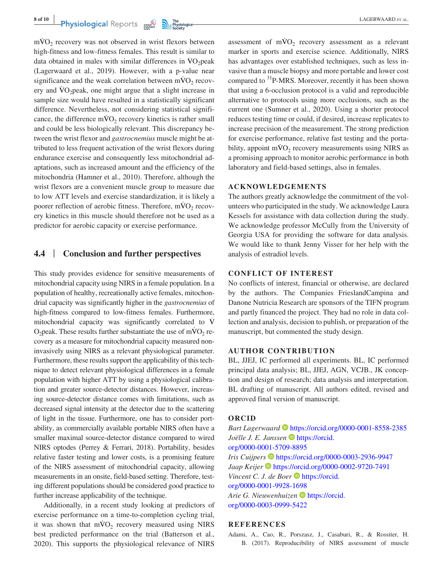$mVO<sub>2</sub>$  recovery was not observed in wrist flexors between high-fitness and low-fitness females. This result is similar to data obtained in males with similar differences in  $\rm VO_2$  peak (Lagerwaard et al., 2019). However, with a p-value near significance and the weak correlation between  $mVO<sub>2</sub>$  recovery and  $\rm{VO}_2$  peak, one might argue that a slight increase in sample size would have resulted in a statistically significant difference. Nevertheless, not considering statistical significance, the difference  $\dot{m}$ VO<sub>2</sub> recovery kinetics is rather small and could be less biologically relevant. This discrepancy between the wrist flexor and *gastrocnemius* muscle might be attributed to less frequent activation of the wrist flexors during endurance exercise and consequently less mitochondrial adaptations, such as increased amount and the efficiency of the mitochondria (Hamner et al., 2010). Therefore, although the wrist flexors are a convenient muscle group to measure due to low ATT levels and exercise standardization, it is likely a poorer reflection of aerobic fitness. Therefore,  $\dot{m} \dot{V} O_2$  recovery kinetics in this muscle should therefore not be used as a predictor for aerobic capacity or exercise performance.

## **4.4** | **Conclusion and further perspectives**

This study provides evidence for sensitive measurements of mitochondrial capacity using NIRS in a female population. In a population of healthy, recreationally active females, mitochondrial capacity was significantly higher in the *gastrocnemius* of high-fitness compared to low-fitness females. Furthermore, mitochondrial capacity was significantly correlated to V̇ O<sub>2</sub> peak. These results further substantiate the use of mVO<sub>2</sub> recovery as a measure for mitochondrial capacity measured noninvasively using NIRS as a relevant physiological parameter. Furthermore, these results support the applicability of this technique to detect relevant physiological differences in a female population with higher ATT by using a physiological calibration and greater source-detector distances. However, increasing source-detector distance comes with limitations, such as decreased signal intensity at the detector due to the scattering of light in the tissue. Furthermore, one has to consider portability, as commercially available portable NIRS often have a smaller maximal source-detector distance compared to wired NIRS optodes (Perrey & Ferrari, 2018). Portability, besides relative faster testing and lower costs, is a promising feature of the NIRS assessment of mitochondrial capacity, allowing measurements in an onsite, field-based setting. Therefore, testing different populations should be considered good practice to further increase applicability of the technique.

Additionally, in a recent study looking at predictors of exercise performance on a time-to-completion cycling trial, it was shown that  $mVO<sub>2</sub>$  recovery measured using NIRS best predicted performance on the trial (Batterson et al., 2020). This supports the physiological relevance of NIRS

assessment of  $m\dot{V}O_2$  recovery assessment as a relevant marker in sports and exercise science. Additionally, NIRS has advantages over established techniques, such as less invasive than a muscle biopsy and more portable and lower cost compared to 31P-MRS. Moreover, recently it has been shown that using a 6-occlusion protocol is a valid and reproducible alternative to protocols using more occlusions, such as the current one (Sumner et al., 2020). Using a shorter protocol reduces testing time or could, if desired, increase replicates to increase precision of the measurement. The strong prediction for exercise performance, relative fast testing and the portability, appoint  $\dot{m} \dot{V} O_2$  recovery measurements using NIRS as a promising approach to monitor aerobic performance in both laboratory and field-based settings, also in females.

#### **ACKNOWLEDGEMENTS**

The authors greatly acknowledge the commitment of the volunteers who participated in the study. We acknowledge Laura Kessels for assistance with data collection during the study. We acknowledge professor McCully from the University of Georgia USA for providing the software for data analysis. We would like to thank Jenny Visser for her help with the analysis of estradiol levels.

#### **CONFLICT OF INTEREST**

No conflicts of interest, financial or otherwise, are declared by the authors. The Companies FrieslandCampina and Danone Nutricia Research are sponsors of the TIFN program and partly financed the project. They had no role in data collection and analysis, decision to publish, or preparation of the manuscript, but commented the study design.

#### **AUTHOR CONTRIBUTION**

BL, JJEJ, IC performed all experiments. BL, IC performed principal data analysis; BL, JJEJ, AGN, VCJB., JK conception and design of research; data analysis and interpretation. BL drafting of manuscript. All authors edited, revised and approved final version of manuscript.

#### **ORCID**

*Bart Lagerwaard* <https://orcid.org/0000-0001-8558-2385> *Joëlle J. E. Janssen* **[https://orcid.](https://orcid.org/0000-0001-5709-8895)** [org/0000-0001-5709-8895](https://orcid.org/0000-0001-5709-8895) *Iris Cuijpers* • <https://orcid.org/0000-0003-2936-9947> *Jaap Keijer*  $\bullet$  <https://orcid.org/0000-0002-9720-7491> *Vincent C. J. de Boer* **[https://orcid.](https://orcid.org/0000-0001-9928-1698)** [org/0000-0001-9928-1698](https://orcid.org/0000-0001-9928-1698) *Arie G. Nieuwenhuizen* **[https://orcid.](https://orcid.org/0000-0003-0999-5422)** [org/0000-0003-0999-5422](https://orcid.org/0000-0003-0999-5422)

#### **REFERENCES**

Adami, A., Cao, R., Porszasz, J., Casaburi, R., & Rossiter, H. B. (2017). Reproducibility of NIRS assessment of muscle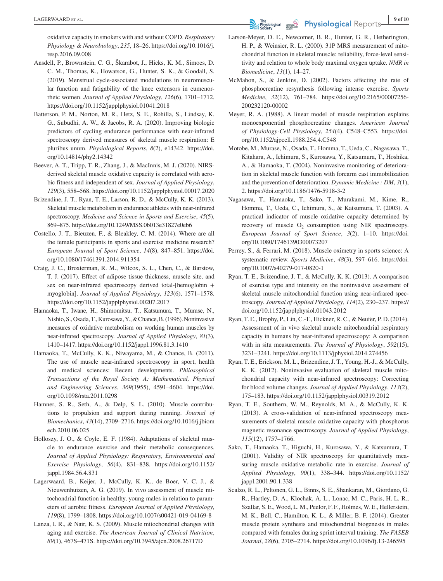oxidative capacity in smokers with and without COPD. *Respiratory Physiology & Neurobiology*, *235*, 18–26. [https://doi.org/10.1016/j.](https://doi.org/10.1016/j.resp.2016.09.008) [resp.2016.09.008](https://doi.org/10.1016/j.resp.2016.09.008)

- Ansdell, P., Brownstein, C. G., Škarabot, J., Hicks, K. M., Simoes, D. C. M., Thomas, K., Howatson, G., Hunter, S. K., & Goodall, S. (2019). Menstrual cycle-associated modulations in neuromuscular function and fatigability of the knee extensors in eumenorrheic women. *Journal of Applied Physiology*, *126*(6), 1701–1712. <https://doi.org/10.1152/japplphysiol.01041.2018>
- Batterson, P. M., Norton, M. R., Hetz, S. E., Rohilla, S., Lindsay, K. G., Subudhi, A. W., & Jacobs, R. A. (2020). Improving biologic predictors of cycling endurance performance with near-infrared spectroscopy derived measures of skeletal muscle respiration: E pluribus unum. *Physiological Reports*, *8*(2), e14342. [https://doi.](https://doi.org/10.14814/phy2.14342) [org/10.14814/phy2.14342](https://doi.org/10.14814/phy2.14342)
- Beever, A. T., Tripp, T. R., Zhang, J., & MacInnis, M. J. (2020). NIRSderived skeletal muscle oxidative capacity is correlated with aerobic fitness and independent of sex. *Journal of Applied Physiology*, *129*(3), 558–568.<https://doi.org/10.1152/japplphysiol.00017.2020>
- Brizendine, J. T., Ryan, T. E., Larson, R. D., & McCully, K. K. (2013). Skeletal muscle metabolism in endurance athletes with near-infrared spectroscopy. *Medicine and Science in Sports and Exercise*, *45*(5), 869–875. <https://doi.org/10.1249/MSS.0b013e31827e0eb6>
- Costello, J. T., Bieuzen, F., & Bleakley, C. M. (2014). Where are all the female participants in sports and exercise medicine research? *European Journal of Sport Science*, *14*(8), 847–851. [https://doi.](https://doi.org/10.1080/17461391.2014.911354) [org/10.1080/17461391.2014.911354](https://doi.org/10.1080/17461391.2014.911354)
- Craig, J. C., Broxterman, R. M., Wilcox, S. L., Chen, C., & Barstow, T. J. (2017). Effect of adipose tissue thickness, muscle site, and sex on near-infrared spectroscopy derived total-[hemoglobin + myoglobin]. *Journal of Applied Physiology*, *123*(6), 1571–1578. <https://doi.org/10.1152/japplphysiol.00207.2017>
- Hamaoka, T., Iwane, H., Shimomitsu, T., Katsumura, T., Murase, N., Nishio, S., Osada, T., Kurosawa, Y., & Chance, B. (1996). Noninvasive measures of oxidative metabolism on working human muscles by near-infrared spectroscopy. *Journal of Applied Physiology*, *81*(3), 1410–1417.<https://doi.org/10.1152/jappl.1996.81.3.1410>
- Hamaoka, T., McCully, K. K., Niwayama, M., & Chance, B. (2011). The use of muscle near-infrared spectroscopy in sport, health and medical sciences: Recent developments. *Philosophical Transactions of the Royal Society A: Mathematical, Physical and Engineering Sciences*, *369*(1955), 4591–4604. [https://doi.](https://doi.org/10.1098/rsta.2011.0298) [org/10.1098/rsta.2011.0298](https://doi.org/10.1098/rsta.2011.0298)
- Hamner, S. R., Seth, A., & Delp, S. L. (2010). Muscle contributions to propulsion and support during running. *Journal of Biomechanics*, *43*(14), 2709–2716. [https://doi.org/10.1016/j.jbiom](https://doi.org/10.1016/j.jbiomech.2010.06.025) [ech.2010.06.025](https://doi.org/10.1016/j.jbiomech.2010.06.025)
- Holloszy, J. O., & Coyle, E. F. (1984). Adaptations of skeletal muscle to endurance exercise and their metabolic consequences. *Journal of Applied Physiology: Respiratory, Environmental and Exercise Physiology*, *56*(4), 831–838. [https://doi.org/10.1152/](https://doi.org/10.1152/jappl.1984.56.4.831) [jappl.1984.56.4.831](https://doi.org/10.1152/jappl.1984.56.4.831)
- Lagerwaard, B., Keijer, J., McCully, K. K., de Boer, V. C. J., & Nieuwenhuizen, A. G. (2019). In vivo assessment of muscle mitochondrial function in healthy, young males in relation to parameters of aerobic fitness. *European Journal of Applied Physiology*, *119*(8), 1799–1808.<https://doi.org/10.1007/s00421-019-04169-8>
- Lanza, I. R., & Nair, K. S. (2009). Muscle mitochondrial changes with aging and exercise. *The American Journal of Clinical Nutrition*, *89*(1), 467S–471S. <https://doi.org/10.3945/ajcn.2008.26717D>
- Larson-Meyer, D. E., Newcomer, B. R., Hunter, G. R., Hetherington, H. P., & Weinsier, R. L. (2000). 31P MRS measurement of mitochondrial function in skeletal muscle: reliability, force-level sensitivity and relation to whole body maximal oxygen uptake. *NMR in Biomedicine*, *13*(1), 14–27.
- McMahon, S., & Jenkins, D. (2002). Factors affecting the rate of phosphocreatine resynthesis following intense exercise. *Sports Medicine*, *32*(12), 761–784. [https://doi.org/10.2165/00007256-](https://doi.org/10.2165/00007256-200232120-00002) [200232120-00002](https://doi.org/10.2165/00007256-200232120-00002)
- Meyer, R. A. (1988). A linear model of muscle respiration explains monoexponential phosphocreatine changes. *American Journal of Physiology-Cell Physiology*, *254*(4), C548–C553. [https://doi.](https://doi.org/10.1152/ajpcell.1988.254.4.C548) [org/10.1152/ajpcell.1988.254.4.C548](https://doi.org/10.1152/ajpcell.1988.254.4.C548)
- Motobe, M., Murase, N., Osada, T., Homma, T., Ueda, C., Nagasawa, T., Kitahara, A., Ichimura, S., Kurosawa, Y., Katsumura, T., Hoshika, A., & Hamaoka, T. (2004). Noninvasive monitoring of deterioration in skeletal muscle function with forearm cast immobilization and the prevention of deterioration. *Dynamic Medicine : DM*, *3*(1), 2.<https://doi.org/10.1186/1476-5918-3-2>
- Nagasawa, T., Hamaoka, T., Sako, T., Murakami, M., Kime, R., Homma, T., Ueda, C., Ichimura, S., & Katsumura, T. (2003). A practical indicator of muscle oxidative capacity determined by recovery of muscle  $O_2$  consumption using NIR spectroscopy. *European Journal of Sport Science*, *3*(2), 1–10. [https://doi.](https://doi.org/10.1080/17461390300073207) [org/10.1080/17461390300073207](https://doi.org/10.1080/17461390300073207)
- Perrey, S., & Ferrari, M. (2018). Muscle oximetry in sports science: A systematic review. *Sports Medicine*, *48*(3), 597–616. [https://doi.](https://doi.org/10.1007/s40279-017-0820-1) [org/10.1007/s40279-017-0820-1](https://doi.org/10.1007/s40279-017-0820-1)
- Ryan, T. E., Brizendine, J. T., & McCully, K. K. (2013). A comparison of exercise type and intensity on the noninvasive assessment of skeletal muscle mitochondrial function using near-infrared spectroscopy. *Journal of Applied Physiology*, *114*(2), 230–237. [https://](https://doi.org/10.1152/japplphysiol.01043.2012) [doi.org/10.1152/japplphysiol.01043.2012](https://doi.org/10.1152/japplphysiol.01043.2012)
- Ryan, T. E., Brophy, P., Lin, C.-T., Hickner, R. C., & Neufer, P. D. (2014). Assessment of in vivo skeletal muscle mitochondrial respiratory capacity in humans by near-infrared spectroscopy: A comparison with in situ measurements. *The Journal of Physiology*, *592*(15), 3231–3241.<https://doi.org/10.1113/jphysiol.2014.274456>
- Ryan, T. E., Erickson, M. L., Brizendine, J. T., Young, H.-J., & McCully, K. K. (2012). Noninvasive evaluation of skeletal muscle mitochondrial capacity with near-infrared spectroscopy: Correcting for blood volume changes. *Journal of Applied Physiology*, *113*(2), 175–183. <https://doi.org/10.1152/japplphysiol.00319.2012>
- Ryan, T. E., Southern, W. M., Reynolds, M. A., & McCully, K. K. (2013). A cross-validation of near-infrared spectroscopy measurements of skeletal muscle oxidative capacity with phosphorus magnetic resonance spectroscopy. *Journal of Applied Physiology*, *115*(12), 1757–1766.
- Sako, T., Hamaoka, T., Higuchi, H., Kurosawa, Y., & Katsumura, T. (2001). Validity of NIR spectroscopy for quantitatively measuring muscle oxidative metabolic rate in exercise. *Journal of Applied Physiology*, *90*(1), 338–344. [https://doi.org/10.1152/](https://doi.org/10.1152/jappl.2001.90.1.338) [jappl.2001.90.1.338](https://doi.org/10.1152/jappl.2001.90.1.338)
- Scalzo, R. L., Peltonen, G. L., Binns, S. E., Shankaran, M., Giordano, G. R., Hartley, D. A., Klochak, A. L., Lonac, M. C., Paris, H. L. R., Szallar, S. E., Wood, L. M., Peelor, F. F., Holmes, W. E., Hellerstein, M. K., Bell, C., Hamilton, K. L., & Miller, B. F. (2014). Greater muscle protein synthesis and mitochondrial biogenesis in males compared with females during sprint interval training. *The FASEB Journal*, *28*(6), 2705–2714. <https://doi.org/10.1096/fj.13-246595>